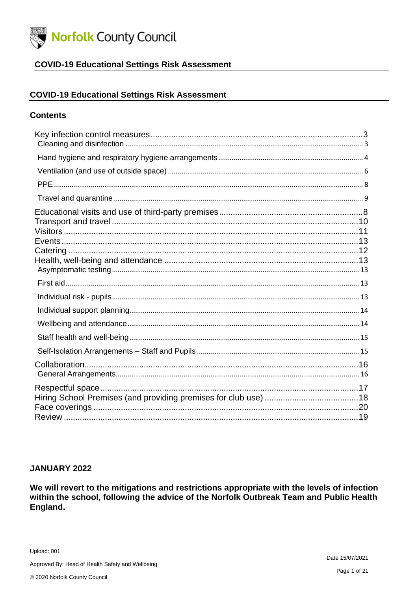

### **COVID-19 Educational Settings Risk Assessment**

#### **COVID-19 Educational Settings Risk Assessment**

### **Contents**

#### **JANUARY 2022**

We will revert to the mitigations and restrictions appropriate with the levels of infection within the school, following the advice of the Norfolk Outbreak Team and Public Health England.

Upload: 001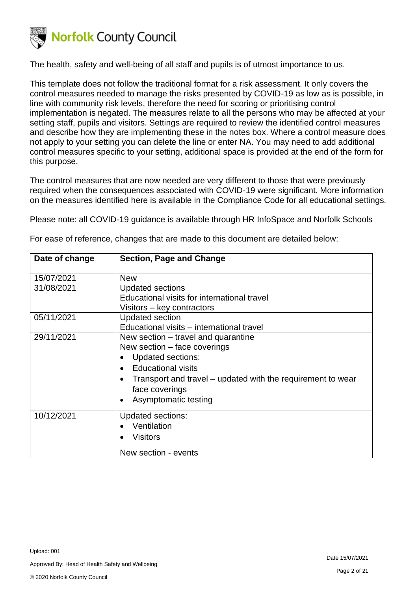

The health, safety and well-being of all staff and pupils is of utmost importance to us.

This template does not follow the traditional format for a risk assessment. It only covers the control measures needed to manage the risks presented by COVID-19 as low as is possible, in line with community risk levels, therefore the need for scoring or prioritising control implementation is negated. The measures relate to all the persons who may be affected at your setting staff, pupils and visitors. Settings are required to review the identified control measures and describe how they are implementing these in the notes box. Where a control measure does not apply to your setting you can delete the line or enter NA. You may need to add additional control measures specific to your setting, additional space is provided at the end of the form for this purpose.

The control measures that are now needed are very different to those that were previously required when the consequences associated with COVID-19 were significant. More information on the measures identified here is available in the Compliance Code for all educational settings.

Please note: all COVID-19 guidance is available through HR InfoSpace and Norfolk Schools

| Date of change | <b>Section, Page and Change</b>                             |
|----------------|-------------------------------------------------------------|
| 15/07/2021     | <b>New</b>                                                  |
| 31/08/2021     | <b>Updated sections</b>                                     |
|                | Educational visits for international travel                 |
|                | Visitors – key contractors                                  |
| 05/11/2021     | <b>Updated section</b>                                      |
|                | Educational visits - international travel                   |
| 29/11/2021     | New section – travel and quarantine                         |
|                | New section – face coverings                                |
|                | <b>Updated sections:</b><br>$\bullet$                       |
|                | <b>Educational visits</b><br>$\bullet$                      |
|                | Transport and travel – updated with the requirement to wear |
|                | face coverings                                              |
|                | Asymptomatic testing<br>$\bullet$                           |
| 10/12/2021     | <b>Updated sections:</b>                                    |
|                | Ventilation                                                 |
|                |                                                             |
|                | <b>Visitors</b>                                             |
|                | New section - events                                        |

For ease of reference, changes that are made to this document are detailed below: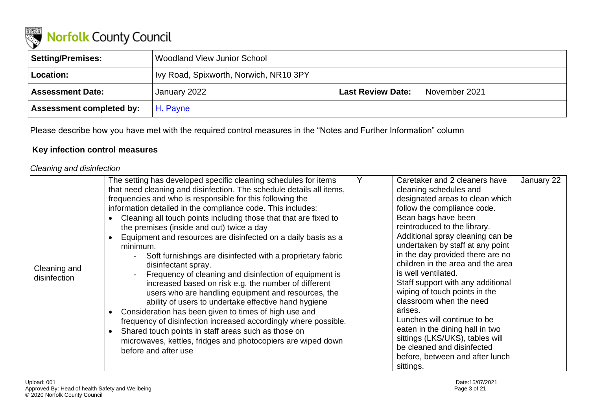

| Setting/Premises:               | Woodland View Junior School           |                          |               |
|---------------------------------|---------------------------------------|--------------------------|---------------|
| Location:                       | Vy Road, Spixworth, Norwich, NR10 3PY |                          |               |
| <b>Assessment Date:</b>         | January 2022                          | <b>Last Review Date:</b> | November 2021 |
| <b>Assessment completed by:</b> | H. Payne                              |                          |               |

Please describe how you have met with the required control measures in the "Notes and Further Information" column

### **Key infection control measures**

### *Cleaning and disinfection*

| Cleaning and<br>disinfection | The setting has developed specific cleaning schedules for items<br>that need cleaning and disinfection. The schedule details all items,<br>frequencies and who is responsible for this following the<br>information detailed in the compliance code. This includes:<br>Cleaning all touch points including those that that are fixed to<br>the premises (inside and out) twice a day<br>Equipment and resources are disinfected on a daily basis as a<br>minimum.<br>Soft furnishings are disinfected with a proprietary fabric<br>disinfectant spray.<br>Frequency of cleaning and disinfection of equipment is<br>increased based on risk e.g. the number of different<br>users who are handling equipment and resources, the<br>ability of users to undertake effective hand hygiene<br>Consideration has been given to times of high use and<br>frequency of disinfection increased accordingly where possible.<br>Shared touch points in staff areas such as those on<br>microwaves, kettles, fridges and photocopiers are wiped down<br>before and after use |  | Caretaker and 2 cleaners have<br>cleaning schedules and<br>designated areas to clean which<br>follow the compliance code.<br>Bean bags have been<br>reintroduced to the library.<br>Additional spray cleaning can be<br>undertaken by staff at any point<br>in the day provided there are no<br>children in the area and the area<br>is well ventilated.<br>Staff support with any additional<br>wiping of touch points in the<br>classroom when the need<br>arises.<br>Lunches will continue to be<br>eaten in the dining hall in two<br>sittings (LKS/UKS), tables will<br>be cleaned and disinfected<br>before, between and after lunch<br>sittings. | January 22 |
|------------------------------|--------------------------------------------------------------------------------------------------------------------------------------------------------------------------------------------------------------------------------------------------------------------------------------------------------------------------------------------------------------------------------------------------------------------------------------------------------------------------------------------------------------------------------------------------------------------------------------------------------------------------------------------------------------------------------------------------------------------------------------------------------------------------------------------------------------------------------------------------------------------------------------------------------------------------------------------------------------------------------------------------------------------------------------------------------------------|--|---------------------------------------------------------------------------------------------------------------------------------------------------------------------------------------------------------------------------------------------------------------------------------------------------------------------------------------------------------------------------------------------------------------------------------------------------------------------------------------------------------------------------------------------------------------------------------------------------------------------------------------------------------|------------|
|------------------------------|--------------------------------------------------------------------------------------------------------------------------------------------------------------------------------------------------------------------------------------------------------------------------------------------------------------------------------------------------------------------------------------------------------------------------------------------------------------------------------------------------------------------------------------------------------------------------------------------------------------------------------------------------------------------------------------------------------------------------------------------------------------------------------------------------------------------------------------------------------------------------------------------------------------------------------------------------------------------------------------------------------------------------------------------------------------------|--|---------------------------------------------------------------------------------------------------------------------------------------------------------------------------------------------------------------------------------------------------------------------------------------------------------------------------------------------------------------------------------------------------------------------------------------------------------------------------------------------------------------------------------------------------------------------------------------------------------------------------------------------------------|------------|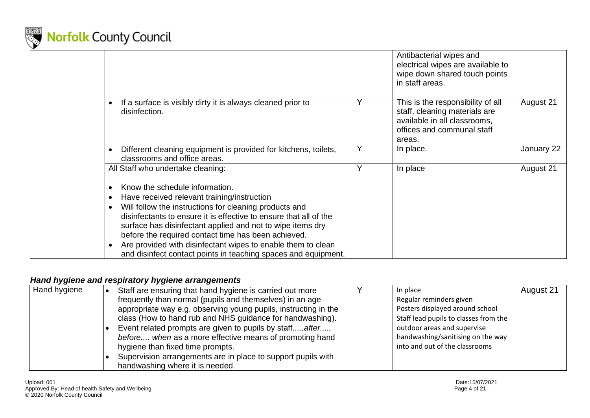

|                                                                                                                                                                                                                                                                                                                                                                                                                                                                                               |   | Antibacterial wipes and<br>electrical wipes are available to<br>wipe down shared touch points<br>in staff areas.                           |            |
|-----------------------------------------------------------------------------------------------------------------------------------------------------------------------------------------------------------------------------------------------------------------------------------------------------------------------------------------------------------------------------------------------------------------------------------------------------------------------------------------------|---|--------------------------------------------------------------------------------------------------------------------------------------------|------------|
| If a surface is visibly dirty it is always cleaned prior to<br>disinfection.                                                                                                                                                                                                                                                                                                                                                                                                                  | Υ | This is the responsibility of all<br>staff, cleaning materials are<br>available in all classrooms,<br>offices and communal staff<br>areas. | August 21  |
| Different cleaning equipment is provided for kitchens, toilets,<br>$\bullet$<br>classrooms and office areas.                                                                                                                                                                                                                                                                                                                                                                                  | Υ | In place.                                                                                                                                  | January 22 |
| All Staff who undertake cleaning:                                                                                                                                                                                                                                                                                                                                                                                                                                                             | v | In place                                                                                                                                   | August 21  |
| Know the schedule information.<br>Have received relevant training/instruction<br>$\bullet$<br>Will follow the instructions for cleaning products and<br>$\bullet$<br>disinfectants to ensure it is effective to ensure that all of the<br>surface has disinfectant applied and not to wipe items dry<br>before the required contact time has been achieved.<br>Are provided with disinfectant wipes to enable them to clean<br>and disinfect contact points in teaching spaces and equipment. |   |                                                                                                                                            |            |

### *Hand hygiene and respiratory hygiene arrangements*

| Hand hygiene | Staff are ensuring that hand hygiene is carried out more        | In place                              | August 21 |
|--------------|-----------------------------------------------------------------|---------------------------------------|-----------|
|              | frequently than normal (pupils and themselves) in an age        | Regular reminders given               |           |
|              | appropriate way e.g. observing young pupils, instructing in the | Posters displayed around school       |           |
|              | class (How to hand rub and NHS guidance for handwashing).       | Staff lead pupils to classes from the |           |
|              | Event related prompts are given to pupils by staffafter         | outdoor areas and supervise           |           |
|              | before when as a more effective means of promoting hand         | handwashing/sanitising on the way     |           |
|              | hygiene than fixed time prompts.                                | into and out of the classrooms        |           |
|              | Supervision arrangements are in place to support pupils with    |                                       |           |
|              | handwashing where it is needed.                                 |                                       |           |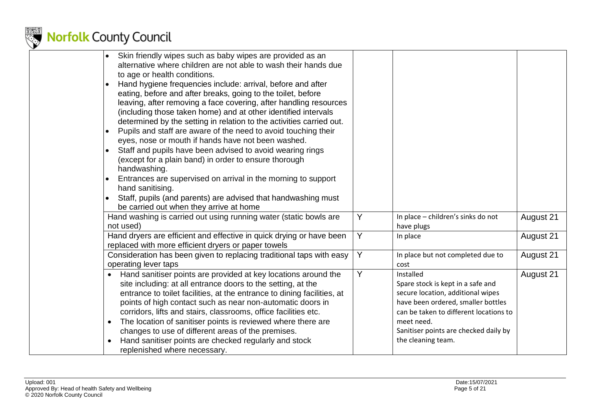

| Skin friendly wipes such as baby wipes are provided as an<br>alternative where children are not able to wash their hands due                                                                                                                                                                                                                                                                                                                                                                                                           |   |                                                                                                                                                                                                                                                  |           |
|----------------------------------------------------------------------------------------------------------------------------------------------------------------------------------------------------------------------------------------------------------------------------------------------------------------------------------------------------------------------------------------------------------------------------------------------------------------------------------------------------------------------------------------|---|--------------------------------------------------------------------------------------------------------------------------------------------------------------------------------------------------------------------------------------------------|-----------|
| to age or health conditions.<br>Hand hygiene frequencies include: arrival, before and after<br>eating, before and after breaks, going to the toilet, before<br>leaving, after removing a face covering, after handling resources<br>(including those taken home) and at other identified intervals                                                                                                                                                                                                                                     |   |                                                                                                                                                                                                                                                  |           |
| determined by the setting in relation to the activities carried out.<br>Pupils and staff are aware of the need to avoid touching their<br>eyes, nose or mouth if hands have not been washed.                                                                                                                                                                                                                                                                                                                                           |   |                                                                                                                                                                                                                                                  |           |
| Staff and pupils have been advised to avoid wearing rings<br>(except for a plain band) in order to ensure thorough<br>handwashing.                                                                                                                                                                                                                                                                                                                                                                                                     |   |                                                                                                                                                                                                                                                  |           |
| Entrances are supervised on arrival in the morning to support<br>hand sanitising.                                                                                                                                                                                                                                                                                                                                                                                                                                                      |   |                                                                                                                                                                                                                                                  |           |
| Staff, pupils (and parents) are advised that handwashing must<br>be carried out when they arrive at home                                                                                                                                                                                                                                                                                                                                                                                                                               |   |                                                                                                                                                                                                                                                  |           |
| Hand washing is carried out using running water (static bowls are<br>not used)                                                                                                                                                                                                                                                                                                                                                                                                                                                         | Y | In place - children's sinks do not<br>have plugs                                                                                                                                                                                                 | August 21 |
| Hand dryers are efficient and effective in quick drying or have been<br>replaced with more efficient dryers or paper towels                                                                                                                                                                                                                                                                                                                                                                                                            | Y | In place                                                                                                                                                                                                                                         | August 21 |
| Consideration has been given to replacing traditional taps with easy<br>operating lever taps                                                                                                                                                                                                                                                                                                                                                                                                                                           | Y | In place but not completed due to<br>cost                                                                                                                                                                                                        | August 21 |
| Hand sanitiser points are provided at key locations around the<br>site including: at all entrance doors to the setting, at the<br>entrance to toilet facilities, at the entrance to dining facilities, at<br>points of high contact such as near non-automatic doors in<br>corridors, lifts and stairs, classrooms, office facilities etc.<br>The location of sanitiser points is reviewed where there are<br>$\bullet$<br>changes to use of different areas of the premises.<br>Hand sanitiser points are checked regularly and stock | Y | Installed<br>Spare stock is kept in a safe and<br>secure location, additional wipes<br>have been ordered, smaller bottles<br>can be taken to different locations to<br>meet need.<br>Sanitiser points are checked daily by<br>the cleaning team. | August 21 |
| replenished where necessary.                                                                                                                                                                                                                                                                                                                                                                                                                                                                                                           |   |                                                                                                                                                                                                                                                  |           |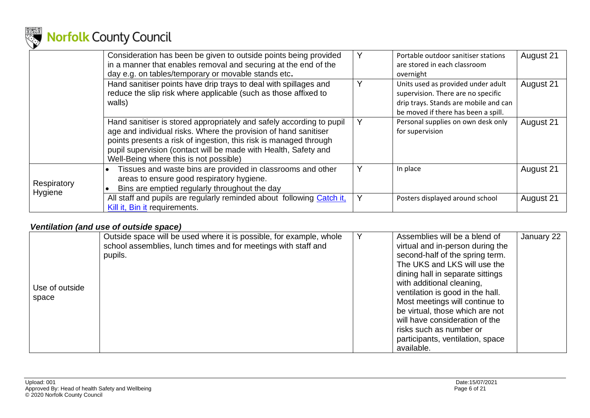

|             | Consideration has been be given to outside points being provided<br>in a manner that enables removal and securing at the end of the<br>day e.g. on tables/temporary or movable stands etc.                                                                                                                                |   | Portable outdoor sanitiser stations<br>are stored in each classroom<br>overnight                                                                         | August 21 |
|-------------|---------------------------------------------------------------------------------------------------------------------------------------------------------------------------------------------------------------------------------------------------------------------------------------------------------------------------|---|----------------------------------------------------------------------------------------------------------------------------------------------------------|-----------|
|             | Hand sanitiser points have drip trays to deal with spillages and<br>reduce the slip risk where applicable (such as those affixed to<br>walls)                                                                                                                                                                             | Υ | Units used as provided under adult<br>supervision. There are no specific<br>drip trays. Stands are mobile and can<br>be moved if there has been a spill. | August 21 |
|             | Hand sanitiser is stored appropriately and safely according to pupil<br>age and individual risks. Where the provision of hand sanitiser<br>points presents a risk of ingestion, this risk is managed through<br>pupil supervision (contact will be made with Health, Safety and<br>Well-Being where this is not possible) |   | Personal supplies on own desk only<br>for supervision                                                                                                    | August 21 |
| Respiratory | Tissues and waste bins are provided in classrooms and other<br>areas to ensure good respiratory hygiene.<br>Bins are emptied regularly throughout the day                                                                                                                                                                 |   | In place                                                                                                                                                 | August 21 |
| Hygiene     | All staff and pupils are regularly reminded about following Catch it,<br>Kill it, Bin it requirements.                                                                                                                                                                                                                    | Y | Posters displayed around school                                                                                                                          | August 21 |

### *Ventilation (and use of outside space)*

|                | Outside space will be used where it is possible, for example, whole | Assemblies will be a blend of    | January 22 |
|----------------|---------------------------------------------------------------------|----------------------------------|------------|
|                | school assemblies, lunch times and for meetings with staff and      | virtual and in-person during the |            |
|                | pupils.                                                             | second-half of the spring term.  |            |
|                |                                                                     | The UKS and LKS will use the     |            |
|                |                                                                     | dining hall in separate sittings |            |
|                |                                                                     | with additional cleaning,        |            |
| Use of outside |                                                                     | ventilation is good in the hall. |            |
| space          |                                                                     | Most meetings will continue to   |            |
|                |                                                                     | be virtual, those which are not  |            |
|                |                                                                     | will have consideration of the   |            |
|                |                                                                     | risks such as number or          |            |
|                |                                                                     | participants, ventilation, space |            |
|                |                                                                     | available.                       |            |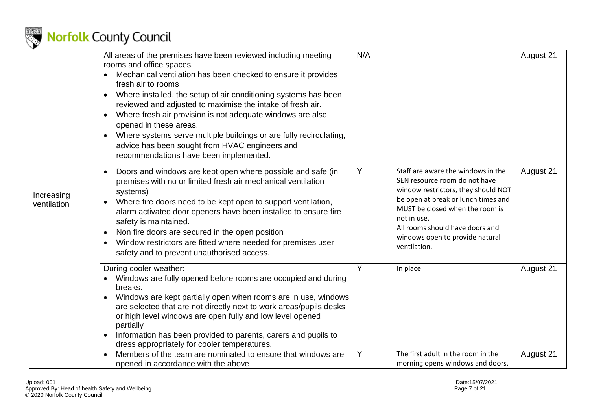

|                           | All areas of the premises have been reviewed including meeting                                                                                                                                                                                                                                                                                                                                                                                                                                                                       | N/A |                                                                                                                                                                                                                                                                                           | August 21 |
|---------------------------|--------------------------------------------------------------------------------------------------------------------------------------------------------------------------------------------------------------------------------------------------------------------------------------------------------------------------------------------------------------------------------------------------------------------------------------------------------------------------------------------------------------------------------------|-----|-------------------------------------------------------------------------------------------------------------------------------------------------------------------------------------------------------------------------------------------------------------------------------------------|-----------|
|                           | rooms and office spaces.<br>Mechanical ventilation has been checked to ensure it provides<br>fresh air to rooms<br>Where installed, the setup of air conditioning systems has been<br>reviewed and adjusted to maximise the intake of fresh air.<br>Where fresh air provision is not adequate windows are also<br>$\bullet$<br>opened in these areas.<br>Where systems serve multiple buildings or are fully recirculating,<br>$\bullet$<br>advice has been sought from HVAC engineers and<br>recommendations have been implemented. |     |                                                                                                                                                                                                                                                                                           |           |
| Increasing<br>ventilation | Doors and windows are kept open where possible and safe (in<br>premises with no or limited fresh air mechanical ventilation<br>systems)<br>Where fire doors need to be kept open to support ventilation,<br>$\bullet$<br>alarm activated door openers have been installed to ensure fire<br>safety is maintained.<br>Non fire doors are secured in the open position<br>$\bullet$<br>Window restrictors are fitted where needed for premises user<br>$\bullet$<br>safety and to prevent unauthorised access.                         | Y   | Staff are aware the windows in the<br>SEN resource room do not have<br>window restrictors, they should NOT<br>be open at break or lunch times and<br>MUST be closed when the room is<br>not in use.<br>All rooms should have doors and<br>windows open to provide natural<br>ventilation. | August 21 |
|                           | During cooler weather:<br>Windows are fully opened before rooms are occupied and during<br>breaks.<br>Windows are kept partially open when rooms are in use, windows<br>$\bullet$<br>are selected that are not directly next to work areas/pupils desks<br>or high level windows are open fully and low level opened<br>partially<br>Information has been provided to parents, carers and pupils to<br>dress appropriately for cooler temperatures.                                                                                  | Y   | In place                                                                                                                                                                                                                                                                                  | August 21 |
|                           | Members of the team are nominated to ensure that windows are<br>opened in accordance with the above                                                                                                                                                                                                                                                                                                                                                                                                                                  | Υ   | The first adult in the room in the<br>morning opens windows and doors,                                                                                                                                                                                                                    | August 21 |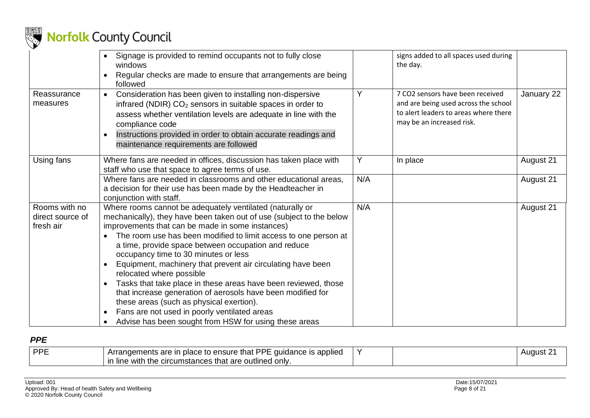

|                                                | Signage is provided to remind occupants not to fully close<br>windows<br>Regular checks are made to ensure that arrangements are being<br>followed                                                                                                                                                                                                                                                                                                                                                                                                                                                                                                                                                                                                                 |     | signs added to all spaces used during<br>the day.                                                                                              |            |
|------------------------------------------------|--------------------------------------------------------------------------------------------------------------------------------------------------------------------------------------------------------------------------------------------------------------------------------------------------------------------------------------------------------------------------------------------------------------------------------------------------------------------------------------------------------------------------------------------------------------------------------------------------------------------------------------------------------------------------------------------------------------------------------------------------------------------|-----|------------------------------------------------------------------------------------------------------------------------------------------------|------------|
| Reassurance<br>measures                        | Consideration has been given to installing non-dispersive<br>$\bullet$<br>infrared (NDIR) CO <sub>2</sub> sensors in suitable spaces in order to<br>assess whether ventilation levels are adequate in line with the<br>compliance code<br>Instructions provided in order to obtain accurate readings and<br>$\bullet$<br>maintenance requirements are followed                                                                                                                                                                                                                                                                                                                                                                                                     | Y   | 7 CO2 sensors have been received<br>and are being used across the school<br>to alert leaders to areas where there<br>may be an increased risk. | January 22 |
| Using fans                                     | Where fans are needed in offices, discussion has taken place with<br>staff who use that space to agree terms of use.                                                                                                                                                                                                                                                                                                                                                                                                                                                                                                                                                                                                                                               | Y   | In place                                                                                                                                       | August 21  |
|                                                | Where fans are needed in classrooms and other educational areas,<br>a decision for their use has been made by the Headteacher in<br>conjunction with staff.                                                                                                                                                                                                                                                                                                                                                                                                                                                                                                                                                                                                        | N/A |                                                                                                                                                | August 21  |
| Rooms with no<br>direct source of<br>fresh air | Where rooms cannot be adequately ventilated (naturally or<br>mechanically), they have been taken out of use (subject to the below<br>improvements that can be made in some instances)<br>The room use has been modified to limit access to one person at<br>a time, provide space between occupation and reduce<br>occupancy time to 30 minutes or less<br>Equipment, machinery that prevent air circulating have been<br>$\bullet$<br>relocated where possible<br>Tasks that take place in these areas have been reviewed, those<br>that increase generation of aerosols have been modified for<br>these areas (such as physical exertion).<br>Fans are not used in poorly ventilated areas<br>$\bullet$<br>Advise has been sought from HSW for using these areas | N/A |                                                                                                                                                | August 21  |

### *PPE*

| <b>DDE</b> | DDE<br>to ensure<br>applied<br>are<br>quidance<br>that<br>n rron<br>place<br>ır<br>ıс<br>ments<br>rrar | $\lambda$ | uaust. |
|------------|--------------------------------------------------------------------------------------------------------|-----------|--------|
|            | the<br>with<br>only<br>outlined<br>line<br>cumstances<br>are<br>mat<br>ш                               |           |        |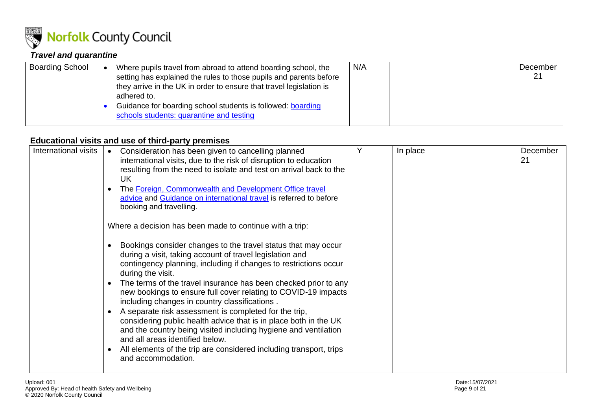

### *Travel and quarantine*

| <b>Boarding School</b> |  | Where pupils travel from abroad to attend boarding school, the<br>setting has explained the rules to those pupils and parents before<br>they arrive in the UK in order to ensure that travel legislation is<br>adhered to.<br>Guidance for boarding school students is followed: boarding<br>schools students: quarantine and testing | N/A |  | December<br>21 |
|------------------------|--|---------------------------------------------------------------------------------------------------------------------------------------------------------------------------------------------------------------------------------------------------------------------------------------------------------------------------------------|-----|--|----------------|
|------------------------|--|---------------------------------------------------------------------------------------------------------------------------------------------------------------------------------------------------------------------------------------------------------------------------------------------------------------------------------------|-----|--|----------------|

### **Educational visits and use of third-party premises**

<span id="page-8-0"></span>

| International visits | Consideration has been given to cancelling planned<br>$\bullet$<br>international visits, due to the risk of disruption to education<br>resulting from the need to isolate and test on arrival back to the<br>UK<br>The Foreign, Commonwealth and Development Office travel<br>advice and Guidance on international travel is referred to before<br>booking and travelling.                                                                                                                                                                                                                                                                                                                                                                                                     | Y | In place | December<br>21 |
|----------------------|--------------------------------------------------------------------------------------------------------------------------------------------------------------------------------------------------------------------------------------------------------------------------------------------------------------------------------------------------------------------------------------------------------------------------------------------------------------------------------------------------------------------------------------------------------------------------------------------------------------------------------------------------------------------------------------------------------------------------------------------------------------------------------|---|----------|----------------|
|                      | Where a decision has been made to continue with a trip:                                                                                                                                                                                                                                                                                                                                                                                                                                                                                                                                                                                                                                                                                                                        |   |          |                |
|                      | Bookings consider changes to the travel status that may occur<br>during a visit, taking account of travel legislation and<br>contingency planning, including if changes to restrictions occur<br>during the visit.<br>The terms of the travel insurance has been checked prior to any<br>$\bullet$<br>new bookings to ensure full cover relating to COVID-19 impacts<br>including changes in country classifications.<br>A separate risk assessment is completed for the trip,<br>$\bullet$<br>considering public health advice that is in place both in the UK<br>and the country being visited including hygiene and ventilation<br>and all areas identified below.<br>All elements of the trip are considered including transport, trips<br>$\bullet$<br>and accommodation. |   |          |                |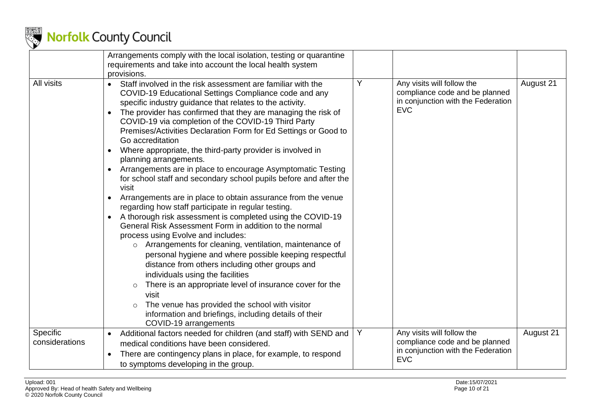

|                                   | Arrangements comply with the local isolation, testing or quarantine<br>requirements and take into account the local health system<br>provisions.                                                                                                                                                                                                                                                                                                                                                                                                                                                                                                                                                                                                                                                                                                                                                                                                                                                                                                                                                                                                                                                                                                                                                                                                                                                                                                    |   |                                                                                                                  |           |
|-----------------------------------|-----------------------------------------------------------------------------------------------------------------------------------------------------------------------------------------------------------------------------------------------------------------------------------------------------------------------------------------------------------------------------------------------------------------------------------------------------------------------------------------------------------------------------------------------------------------------------------------------------------------------------------------------------------------------------------------------------------------------------------------------------------------------------------------------------------------------------------------------------------------------------------------------------------------------------------------------------------------------------------------------------------------------------------------------------------------------------------------------------------------------------------------------------------------------------------------------------------------------------------------------------------------------------------------------------------------------------------------------------------------------------------------------------------------------------------------------------|---|------------------------------------------------------------------------------------------------------------------|-----------|
| All visits                        | Staff involved in the risk assessment are familiar with the<br>$\bullet$<br>COVID-19 Educational Settings Compliance code and any<br>specific industry guidance that relates to the activity.<br>The provider has confirmed that they are managing the risk of<br>$\bullet$<br>COVID-19 via completion of the COVID-19 Third Party<br>Premises/Activities Declaration Form for Ed Settings or Good to<br>Go accreditation<br>Where appropriate, the third-party provider is involved in<br>$\bullet$<br>planning arrangements.<br>Arrangements are in place to encourage Asymptomatic Testing<br>$\bullet$<br>for school staff and secondary school pupils before and after the<br>visit<br>Arrangements are in place to obtain assurance from the venue<br>$\bullet$<br>regarding how staff participate in regular testing.<br>A thorough risk assessment is completed using the COVID-19<br>$\bullet$<br>General Risk Assessment Form in addition to the normal<br>process using Evolve and includes:<br>o Arrangements for cleaning, ventilation, maintenance of<br>personal hygiene and where possible keeping respectful<br>distance from others including other groups and<br>individuals using the facilities<br>There is an appropriate level of insurance cover for the<br>$\circ$<br>visit<br>The venue has provided the school with visitor<br>$\circ$<br>information and briefings, including details of their<br>COVID-19 arrangements | Y | Any visits will follow the<br>compliance code and be planned<br>in conjunction with the Federation<br><b>EVC</b> | August 21 |
| <b>Specific</b><br>considerations | Additional factors needed for children (and staff) with SEND and<br>medical conditions have been considered.<br>There are contingency plans in place, for example, to respond<br>$\bullet$<br>to symptoms developing in the group.                                                                                                                                                                                                                                                                                                                                                                                                                                                                                                                                                                                                                                                                                                                                                                                                                                                                                                                                                                                                                                                                                                                                                                                                                  | Y | Any visits will follow the<br>compliance code and be planned<br>in conjunction with the Federation<br><b>EVC</b> | August 21 |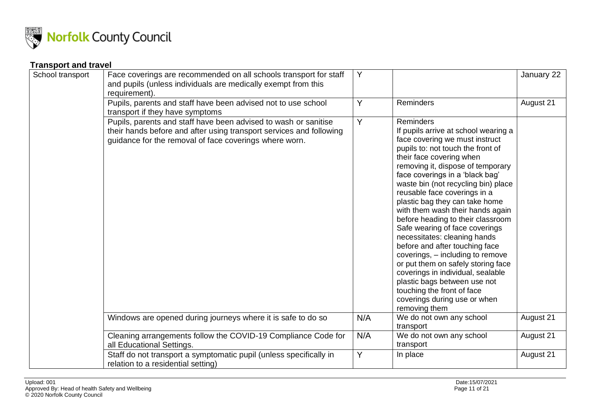

### **Transport and travel**

| School transport | Face coverings are recommended on all schools transport for staff<br>and pupils (unless individuals are medically exempt from this<br>requirement).                                              | Y   |                                                                                                                                                                                                                                                                                                                                                                                                                                                                                                                                                                                                                                                                                                                                                         | January 22 |
|------------------|--------------------------------------------------------------------------------------------------------------------------------------------------------------------------------------------------|-----|---------------------------------------------------------------------------------------------------------------------------------------------------------------------------------------------------------------------------------------------------------------------------------------------------------------------------------------------------------------------------------------------------------------------------------------------------------------------------------------------------------------------------------------------------------------------------------------------------------------------------------------------------------------------------------------------------------------------------------------------------------|------------|
|                  | Pupils, parents and staff have been advised not to use school<br>transport if they have symptoms                                                                                                 | Y   | Reminders                                                                                                                                                                                                                                                                                                                                                                                                                                                                                                                                                                                                                                                                                                                                               | August 21  |
|                  | Pupils, parents and staff have been advised to wash or sanitise<br>their hands before and after using transport services and following<br>guidance for the removal of face coverings where worn. | Y   | <b>Reminders</b><br>If pupils arrive at school wearing a<br>face covering we must instruct<br>pupils to: not touch the front of<br>their face covering when<br>removing it, dispose of temporary<br>face coverings in a 'black bag'<br>waste bin (not recycling bin) place<br>reusable face coverings in a<br>plastic bag they can take home<br>with them wash their hands again<br>before heading to their classroom<br>Safe wearing of face coverings<br>necessitates: cleaning hands<br>before and after touching face<br>coverings, - including to remove<br>or put them on safely storing face<br>coverings in individual, sealable<br>plastic bags between use not<br>touching the front of face<br>coverings during use or when<br>removing them |            |
|                  | Windows are opened during journeys where it is safe to do so                                                                                                                                     | N/A | We do not own any school<br>transport                                                                                                                                                                                                                                                                                                                                                                                                                                                                                                                                                                                                                                                                                                                   | August 21  |
|                  | Cleaning arrangements follow the COVID-19 Compliance Code for<br>all Educational Settings.                                                                                                       | N/A | We do not own any school<br>transport                                                                                                                                                                                                                                                                                                                                                                                                                                                                                                                                                                                                                                                                                                                   | August 21  |
|                  | Staff do not transport a symptomatic pupil (unless specifically in<br>relation to a residential setting)                                                                                         | Y   | In place                                                                                                                                                                                                                                                                                                                                                                                                                                                                                                                                                                                                                                                                                                                                                | August 21  |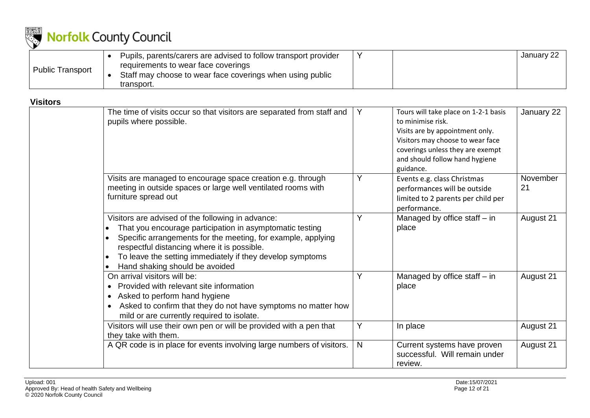

|                         | Pupils, parents/carers are advised to follow transport provider                                                |  | January 22 |
|-------------------------|----------------------------------------------------------------------------------------------------------------|--|------------|
| <b>Public Transport</b> | requirements to wear face coverings<br>Staff may choose to wear face coverings when using public<br>transport. |  |            |

#### **Visitors**

| The time of visits occur so that visitors are separated from staff and<br>pupils where possible.                                                                                                                                                                                                                            | Y            | Tours will take place on 1-2-1 basis<br>to minimise risk.<br>Visits are by appointment only.<br>Visitors may choose to wear face<br>coverings unless they are exempt<br>and should follow hand hygiene<br>guidance. | January 22     |
|-----------------------------------------------------------------------------------------------------------------------------------------------------------------------------------------------------------------------------------------------------------------------------------------------------------------------------|--------------|---------------------------------------------------------------------------------------------------------------------------------------------------------------------------------------------------------------------|----------------|
| Visits are managed to encourage space creation e.g. through<br>meeting in outside spaces or large well ventilated rooms with<br>furniture spread out                                                                                                                                                                        | Y            | Events e.g. class Christmas<br>performances will be outside<br>limited to 2 parents per child per<br>performance.                                                                                                   | November<br>21 |
| Visitors are advised of the following in advance:<br>That you encourage participation in asymptomatic testing<br>Specific arrangements for the meeting, for example, applying<br>respectful distancing where it is possible.<br>To leave the setting immediately if they develop symptoms<br>Hand shaking should be avoided | Υ            | Managed by office staff - in<br>place                                                                                                                                                                               | August 21      |
| On arrival visitors will be:<br>Provided with relevant site information<br>Asked to perform hand hygiene<br>Asked to confirm that they do not have symptoms no matter how<br>mild or are currently required to isolate.                                                                                                     | Υ            | Managed by office staff - in<br>place                                                                                                                                                                               | August 21      |
| Visitors will use their own pen or will be provided with a pen that<br>they take with them.                                                                                                                                                                                                                                 | Y            | In place                                                                                                                                                                                                            | August 21      |
| A QR code is in place for events involving large numbers of visitors.                                                                                                                                                                                                                                                       | $\mathsf{N}$ | Current systems have proven<br>successful. Will remain under<br>review.                                                                                                                                             | August 21      |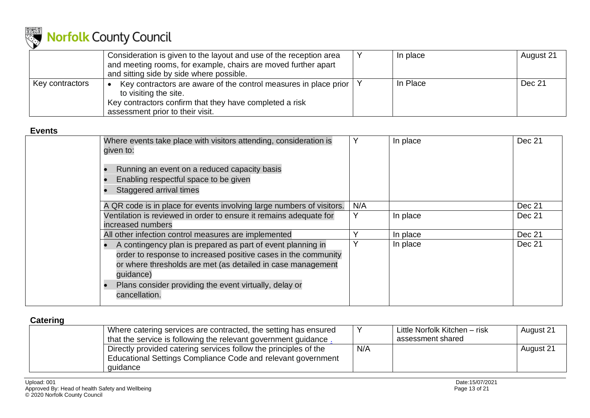

|                 | Consideration is given to the layout and use of the reception area<br>and meeting rooms, for example, chairs are moved further apart<br>and sitting side by side where possible.             | In place | August 21 |
|-----------------|----------------------------------------------------------------------------------------------------------------------------------------------------------------------------------------------|----------|-----------|
| Key contractors | Key contractors are aware of the control measures in place prior   \<br>to visiting the site.<br>Key contractors confirm that they have completed a risk<br>assessment prior to their visit. | In Place | Dec 21    |

### **Events**

| Where events take place with visitors attending, consideration is<br>given to:                                                                                                                                                                                                       |     | In place | Dec 21 |
|--------------------------------------------------------------------------------------------------------------------------------------------------------------------------------------------------------------------------------------------------------------------------------------|-----|----------|--------|
| Running an event on a reduced capacity basis<br>Enabling respectful space to be given<br>Staggered arrival times                                                                                                                                                                     |     |          |        |
| A QR code is in place for events involving large numbers of visitors.                                                                                                                                                                                                                | N/A |          | Dec 21 |
| Ventilation is reviewed in order to ensure it remains adequate for                                                                                                                                                                                                                   |     | In place | Dec 21 |
| increased numbers                                                                                                                                                                                                                                                                    |     |          |        |
| All other infection control measures are implemented                                                                                                                                                                                                                                 |     | In place | Dec 21 |
| A contingency plan is prepared as part of event planning in<br>order to response to increased positive cases in the community<br>or where thresholds are met (as detailed in case management<br>guidance)<br>Plans consider providing the event virtually, delay or<br>cancellation. | Υ   | In place | Dec 21 |

### <span id="page-12-0"></span>**Catering**

| Where catering services are contracted, the setting has ensured<br>that the service is following the relevant government guidance.           |     | Little Norfolk Kitchen - risk<br>assessment shared | August 21 |
|----------------------------------------------------------------------------------------------------------------------------------------------|-----|----------------------------------------------------|-----------|
| Directly provided catering services follow the principles of the<br>Educational Settings Compliance Code and relevant government<br>quidance | N/A |                                                    | August 21 |
|                                                                                                                                              |     |                                                    |           |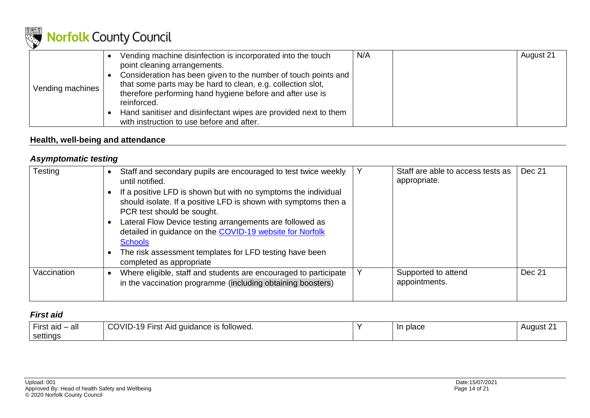

|                  | Vending machine disinfection is incorporated into the touch     | N/A | August 21 |
|------------------|-----------------------------------------------------------------|-----|-----------|
|                  | point cleaning arrangements.                                    |     |           |
|                  | Consideration has been given to the number of touch points and  |     |           |
|                  | that some parts may be hard to clean, e.g. collection slot,     |     |           |
| Vending machines | therefore performing hand hygiene before and after use is       |     |           |
|                  | reinforced.                                                     |     |           |
|                  | Hand sanitiser and disinfectant wipes are provided next to them |     |           |
|                  | with instruction to use before and after.                       |     |           |

### **Health, well-being and attendance**

### *Asymptomatic testing*

| Testing     | Staff and secondary pupils are encouraged to test twice weekly<br>until notified.<br>If a positive LFD is shown but with no symptoms the individual<br>should isolate. If a positive LFD is shown with symptoms then a<br>PCR test should be sought.<br>Lateral Flow Device testing arrangements are followed as<br>detailed in guidance on the COVID-19 website for Norfolk<br><b>Schools</b><br>The risk assessment templates for LFD testing have been<br>completed as appropriate | Staff are able to access tests as<br>appropriate. | Dec 21 |
|-------------|---------------------------------------------------------------------------------------------------------------------------------------------------------------------------------------------------------------------------------------------------------------------------------------------------------------------------------------------------------------------------------------------------------------------------------------------------------------------------------------|---------------------------------------------------|--------|
| Vaccination | Where eligible, staff and students are encouraged to participate<br>in the vaccination programme (including obtaining boosters)                                                                                                                                                                                                                                                                                                                                                       | Supported to attend<br>appointments.              | Dec 21 |

### *First aid*

| all<br>First aid. | ר -OVID∩<br>* Aid guidance is followed.<br>` Fırst<br>1 U<br>ັບ<br>. . | place | August. |
|-------------------|------------------------------------------------------------------------|-------|---------|
| settings          |                                                                        |       |         |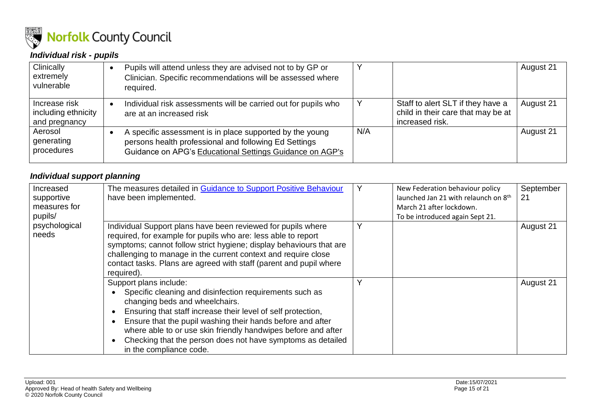

### *Individual risk - pupils*

| Clinically<br>extremely<br>vulnerable                 |   | Pupils will attend unless they are advised not to by GP or<br>Clinician. Specific recommendations will be assessed where<br>required.                                         |     |                                                                                            | August 21 |
|-------------------------------------------------------|---|-------------------------------------------------------------------------------------------------------------------------------------------------------------------------------|-----|--------------------------------------------------------------------------------------------|-----------|
| Increase risk<br>including ethnicity<br>and pregnancy | G | Individual risk assessments will be carried out for pupils who<br>are at an increased risk                                                                                    |     | Staff to alert SLT if they have a<br>child in their care that may be at<br>increased risk. | August 21 |
| Aerosol<br>generating<br>procedures                   |   | A specific assessment is in place supported by the young<br>persons health professional and following Ed Settings<br>Guidance on APG's Educational Settings Guidance on AGP's | N/A |                                                                                            | August 21 |

### *Individual support planning*

| Increased<br>supportive<br>measures for<br>pupils/ | The measures detailed in Guidance to Support Positive Behaviour<br>have been implemented.                                                                                                                                                                                                                                                                                                                    | New Federation behaviour policy<br>launched Jan 21 with relaunch on 8th<br>March 21 after lockdown.<br>To be introduced again Sept 21. | September<br>21 |
|----------------------------------------------------|--------------------------------------------------------------------------------------------------------------------------------------------------------------------------------------------------------------------------------------------------------------------------------------------------------------------------------------------------------------------------------------------------------------|----------------------------------------------------------------------------------------------------------------------------------------|-----------------|
| psychological<br>needs                             | Individual Support plans have been reviewed for pupils where<br>required, for example for pupils who are: less able to report<br>symptoms; cannot follow strict hygiene; display behaviours that are<br>challenging to manage in the current context and require close<br>contact tasks. Plans are agreed with staff (parent and pupil where<br>required).                                                   |                                                                                                                                        | August 21       |
|                                                    | Support plans include:<br>Specific cleaning and disinfection requirements such as<br>changing beds and wheelchairs.<br>Ensuring that staff increase their level of self protection,<br>Ensure that the pupil washing their hands before and after<br>where able to or use skin friendly handwipes before and after<br>Checking that the person does not have symptoms as detailed<br>in the compliance code. |                                                                                                                                        | August 21       |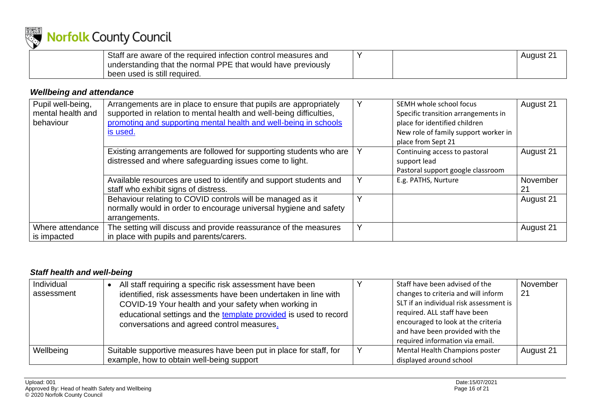

| Staff are aware of the required infection control measures and |  | 'August 2 |
|----------------------------------------------------------------|--|-----------|
| understanding that the normal PPE that would have previously   |  |           |
| been used is still required.                                   |  |           |

### *Wellbeing and attendance*

| Pupil well-being,<br>mental health and<br>behaviour | Arrangements are in place to ensure that pupils are appropriately<br>supported in relation to mental health and well-being difficulties,<br>promoting and supporting mental health and well-being in schools<br>is used. | Y | SEMH whole school focus<br>Specific transition arrangements in<br>place for identified children<br>New role of family support worker in<br>place from Sept 21 | August 21      |
|-----------------------------------------------------|--------------------------------------------------------------------------------------------------------------------------------------------------------------------------------------------------------------------------|---|---------------------------------------------------------------------------------------------------------------------------------------------------------------|----------------|
|                                                     | Existing arrangements are followed for supporting students who are<br>distressed and where safeguarding issues come to light.                                                                                            |   | Continuing access to pastoral<br>support lead<br>Pastoral support google classroom                                                                            | August 21      |
|                                                     | Available resources are used to identify and support students and<br>staff who exhibit signs of distress.                                                                                                                | Y | E.g. PATHS, Nurture                                                                                                                                           | November<br>21 |
|                                                     | Behaviour relating to COVID controls will be managed as it<br>normally would in order to encourage universal hygiene and safety<br>arrangements.                                                                         |   |                                                                                                                                                               | August 21      |
| Where attendance<br>is impacted                     | The setting will discuss and provide reassurance of the measures<br>in place with pupils and parents/carers.                                                                                                             | Y |                                                                                                                                                               | August 21      |

### *Staff health and well-being*

| Individual<br>assessment | All staff requiring a specific risk assessment have been<br>identified, risk assessments have been undertaken in line with<br>COVID-19 Your health and your safety when working in<br>educational settings and the template provided is used to record<br>conversations and agreed control measures. | Staff have been advised of the<br>changes to criteria and will inform<br>SLT if an individual risk assessment is<br>required. ALL staff have been<br>encouraged to look at the criteria<br>and have been provided with the<br>required information via email. | November<br>21 |
|--------------------------|------------------------------------------------------------------------------------------------------------------------------------------------------------------------------------------------------------------------------------------------------------------------------------------------------|---------------------------------------------------------------------------------------------------------------------------------------------------------------------------------------------------------------------------------------------------------------|----------------|
| Wellbeing                | Suitable supportive measures have been put in place for staff, for<br>example, how to obtain well-being support                                                                                                                                                                                      | Mental Health Champions poster<br>displayed around school                                                                                                                                                                                                     | August 21      |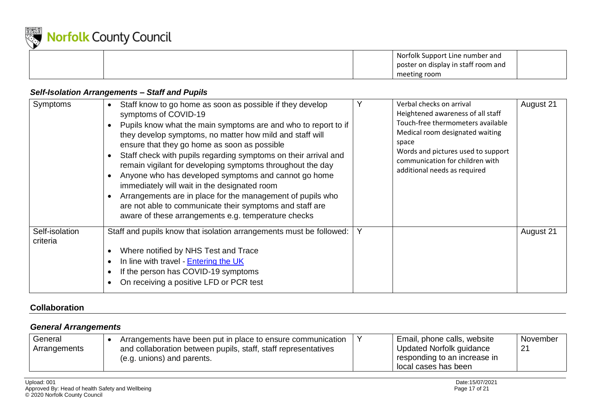

|  | Norfolk Support Line number and<br>poster on display in staff room and |  |
|--|------------------------------------------------------------------------|--|
|  | meeting room                                                           |  |

#### *Self-Isolation Arrangements – Staff and Pupils*

| Symptoms                   | Staff know to go home as soon as possible if they develop<br>symptoms of COVID-19<br>Pupils know what the main symptoms are and who to report to if<br>they develop symptoms, no matter how mild and staff will<br>ensure that they go home as soon as possible<br>Staff check with pupils regarding symptoms on their arrival and<br>remain vigilant for developing symptoms throughout the day<br>Anyone who has developed symptoms and cannot go home<br>immediately will wait in the designated room<br>Arrangements are in place for the management of pupils who<br>are not able to communicate their symptoms and staff are<br>aware of these arrangements e.g. temperature checks |   | Verbal checks on arrival<br>Heightened awareness of all staff<br>Touch-free thermometers available<br>Medical room designated waiting<br>space<br>Words and pictures used to support<br>communication for children with<br>additional needs as required | August 21 |
|----------------------------|-------------------------------------------------------------------------------------------------------------------------------------------------------------------------------------------------------------------------------------------------------------------------------------------------------------------------------------------------------------------------------------------------------------------------------------------------------------------------------------------------------------------------------------------------------------------------------------------------------------------------------------------------------------------------------------------|---|---------------------------------------------------------------------------------------------------------------------------------------------------------------------------------------------------------------------------------------------------------|-----------|
| Self-isolation<br>criteria | Staff and pupils know that isolation arrangements must be followed:<br>Where notified by NHS Test and Trace<br>In line with travel - Entering the UK<br>If the person has COVID-19 symptoms<br>On receiving a positive LFD or PCR test                                                                                                                                                                                                                                                                                                                                                                                                                                                    | Υ |                                                                                                                                                                                                                                                         | August 21 |

### **Collaboration**

### *General Arrangements*

| General      | Arrangements have been put in place to ensure communication    | Email, phone calls, website  | November |
|--------------|----------------------------------------------------------------|------------------------------|----------|
| Arrangements | and collaboration between pupils, staff, staff representatives | Updated Norfolk guidance     |          |
|              | (e.g. unions) and parents.                                     | responding to an increase in |          |
|              |                                                                | l local cases has been       |          |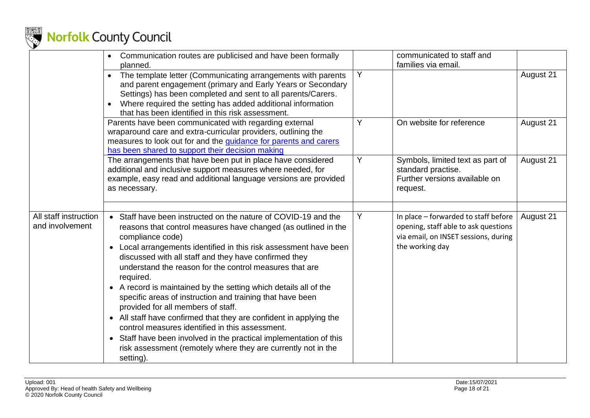

|                                          | Communication routes are publicised and have been formally<br>$\bullet$<br>planned.                                                                                                                                                                                                                                                                                                                                                                                                                                                                                                                                                                                                                                                                                                                            |   | communicated to staff and<br>families via email.                                                                                        |           |
|------------------------------------------|----------------------------------------------------------------------------------------------------------------------------------------------------------------------------------------------------------------------------------------------------------------------------------------------------------------------------------------------------------------------------------------------------------------------------------------------------------------------------------------------------------------------------------------------------------------------------------------------------------------------------------------------------------------------------------------------------------------------------------------------------------------------------------------------------------------|---|-----------------------------------------------------------------------------------------------------------------------------------------|-----------|
|                                          | The template letter (Communicating arrangements with parents<br>$\bullet$<br>and parent engagement (primary and Early Years or Secondary<br>Settings) has been completed and sent to all parents/Carers.<br>Where required the setting has added additional information<br>that has been identified in this risk assessment.                                                                                                                                                                                                                                                                                                                                                                                                                                                                                   | Y |                                                                                                                                         | August 21 |
|                                          | Parents have been communicated with regarding external<br>wraparound care and extra-curricular providers, outlining the<br>measures to look out for and the guidance for parents and carers<br>has been shared to support their decision making                                                                                                                                                                                                                                                                                                                                                                                                                                                                                                                                                                | Y | On website for reference                                                                                                                | August 21 |
|                                          | The arrangements that have been put in place have considered<br>additional and inclusive support measures where needed, for<br>example, easy read and additional language versions are provided<br>as necessary.                                                                                                                                                                                                                                                                                                                                                                                                                                                                                                                                                                                               | Υ | Symbols, limited text as part of<br>standard practise.<br>Further versions available on<br>request.                                     | August 21 |
|                                          |                                                                                                                                                                                                                                                                                                                                                                                                                                                                                                                                                                                                                                                                                                                                                                                                                |   |                                                                                                                                         |           |
| All staff instruction<br>and involvement | • Staff have been instructed on the nature of COVID-19 and the<br>reasons that control measures have changed (as outlined in the<br>compliance code)<br>• Local arrangements identified in this risk assessment have been<br>discussed with all staff and they have confirmed they<br>understand the reason for the control measures that are<br>required.<br>• A record is maintained by the setting which details all of the<br>specific areas of instruction and training that have been<br>provided for all members of staff.<br>• All staff have confirmed that they are confident in applying the<br>control measures identified in this assessment.<br>• Staff have been involved in the practical implementation of this<br>risk assessment (remotely where they are currently not in the<br>setting). | Y | In place - forwarded to staff before<br>opening, staff able to ask questions<br>via email, on INSET sessions, during<br>the working day | August 21 |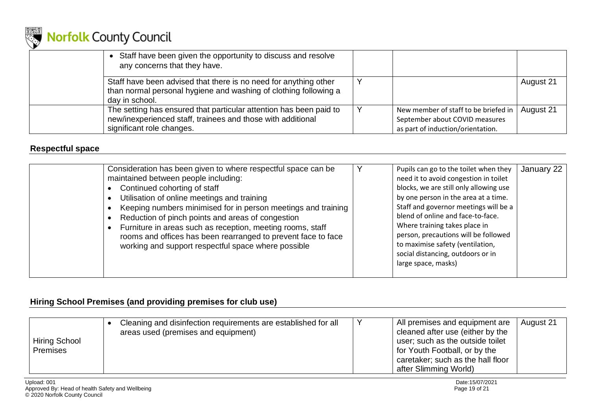

| Staff have been given the opportunity to discuss and resolve<br>any concerns that they have.                                                                   |                                                                                                             |           |
|----------------------------------------------------------------------------------------------------------------------------------------------------------------|-------------------------------------------------------------------------------------------------------------|-----------|
| Staff have been advised that there is no need for anything other<br>than normal personal hygiene and washing of clothing following a<br>day in school.         |                                                                                                             | August 21 |
| The setting has ensured that particular attention has been paid to<br>new/inexperienced staff, trainees and those with additional<br>significant role changes. | New member of staff to be briefed in<br>September about COVID measures<br>as part of induction/orientation. | August 21 |

### **Respectful space**

| Consideration has been given to where respectful space can be<br>maintained between people including:<br>Continued cohorting of staff<br>Utilisation of online meetings and training<br>Keeping numbers minimised for in person meetings and training<br>Reduction of pinch points and areas of congestion<br>Furniture in areas such as reception, meeting rooms, staff<br>rooms and offices has been rearranged to prevent face to face<br>working and support respectful space where possible |  | Pupils can go to the toilet when they<br>need it to avoid congestion in toilet<br>blocks, we are still only allowing use<br>by one person in the area at a time.<br>Staff and governor meetings will be a<br>blend of online and face-to-face.<br>Where training takes place in<br>person, precautions will be followed<br>to maximise safety (ventilation,<br>social distancing, outdoors or in<br>large space, masks) | January 22 |
|--------------------------------------------------------------------------------------------------------------------------------------------------------------------------------------------------------------------------------------------------------------------------------------------------------------------------------------------------------------------------------------------------------------------------------------------------------------------------------------------------|--|-------------------------------------------------------------------------------------------------------------------------------------------------------------------------------------------------------------------------------------------------------------------------------------------------------------------------------------------------------------------------------------------------------------------------|------------|
|--------------------------------------------------------------------------------------------------------------------------------------------------------------------------------------------------------------------------------------------------------------------------------------------------------------------------------------------------------------------------------------------------------------------------------------------------------------------------------------------------|--|-------------------------------------------------------------------------------------------------------------------------------------------------------------------------------------------------------------------------------------------------------------------------------------------------------------------------------------------------------------------------------------------------------------------------|------------|

### **Hiring School Premises (and providing premises for club use)**

| <b>Hiring School</b><br><b>Premises</b> | Cleaning and disinfection requirements are established for all<br>areas used (premises and equipment) |  | All premises and equipment are<br>cleaned after use (either by the<br>user; such as the outside toilet<br>for Youth Football, or by the<br>caretaker; such as the hall floor<br>after Slimming World) | August 21 |
|-----------------------------------------|-------------------------------------------------------------------------------------------------------|--|-------------------------------------------------------------------------------------------------------------------------------------------------------------------------------------------------------|-----------|
|-----------------------------------------|-------------------------------------------------------------------------------------------------------|--|-------------------------------------------------------------------------------------------------------------------------------------------------------------------------------------------------------|-----------|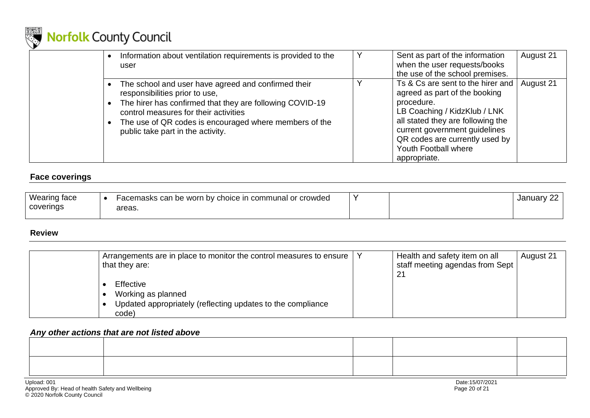

| Information about ventilation requirements is provided to the<br>user                                                                                                                                                                                                                       | Y | Sent as part of the information<br>when the user requests/books<br>the use of the school premises.                                                                                                                                                               | August 21 |
|---------------------------------------------------------------------------------------------------------------------------------------------------------------------------------------------------------------------------------------------------------------------------------------------|---|------------------------------------------------------------------------------------------------------------------------------------------------------------------------------------------------------------------------------------------------------------------|-----------|
| The school and user have agreed and confirmed their<br>responsibilities prior to use,<br>• The hirer has confirmed that they are following COVID-19<br>control measures for their activities<br>The use of QR codes is encouraged where members of the<br>public take part in the activity. |   | Ts & Cs are sent to the hirer and<br>agreed as part of the booking<br>procedure.<br>LB Coaching / KidzKlub / LNK<br>all stated they are following the<br>current government guidelines<br>QR codes are currently used by<br>Youth Football where<br>appropriate. | August 21 |

### **Face coverings**

| Wearing face | Facemasks can be worn by choice in communal or crowded |  | $\sim$<br>January <sup>-</sup> |
|--------------|--------------------------------------------------------|--|--------------------------------|
| coverings    | areas.                                                 |  |                                |

#### **Review**

| Arrangements are in place to monitor the control measures to ensure<br>that they are:                   | Health and safety item on all<br>staff meeting agendas from Sept<br>-21 | August 21 |
|---------------------------------------------------------------------------------------------------------|-------------------------------------------------------------------------|-----------|
| Effective<br>Working as planned<br>Updated appropriately (reflecting updates to the compliance<br>code) |                                                                         |           |

### *Any other actions that are not listed above*

<span id="page-19-0"></span>